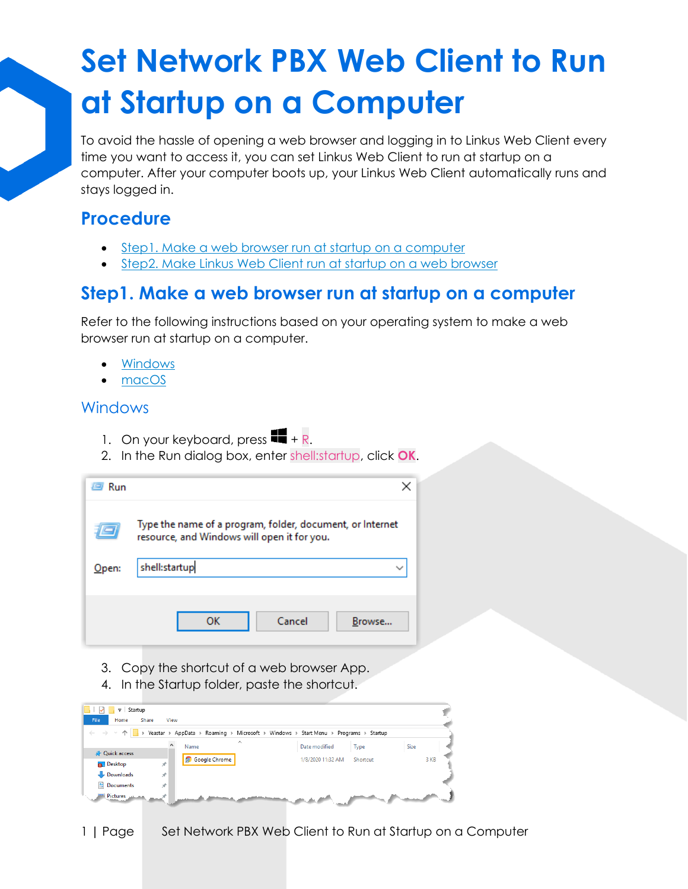# **Set Network PBX Web Client to Run at Startup on a Computer**

To avoid the hassle of opening a web browser and logging in to Linkus Web Client every time you want to access it, you can set Linkus Web Client to run at startup on a computer. After your computer boots up, your Linkus Web Client automatically runs and stays logged in.

### **Procedure**

- [Step1. Make a web browser run at startup on a computer](https://help.yeastar.com/en/p-series-cloud-edition/web-client-user-guide/set-linkus-web-client-to-run-at-startup-on-a-computer.dita.html#run-linkus-web-client-at-startup-on-computer__section_hlx_snm_bpb)
- [Step2. Make Linkus Web Client run at startup on a web browser](https://help.yeastar.com/en/p-series-cloud-edition/web-client-user-guide/set-linkus-web-client-to-run-at-startup-on-a-computer.dita.html#run-linkus-web-client-at-startup-on-computer__section_blp_tnm_bpb)

### **Step1. Make a web browser run at startup on a computer**

Refer to the following instructions based on your operating system to make a web browser run at startup on a computer.

- [Windows](https://help.yeastar.com/en/p-series-cloud-edition/web-client-user-guide/set-linkus-web-client-to-run-at-startup-on-a-computer.dita.html#run-linkus-web-client-at-startup-on-computer__windows)
- [macOS](https://help.yeastar.com/en/p-series-cloud-edition/web-client-user-guide/set-linkus-web-client-to-run-at-startup-on-a-computer.dita.html#run-linkus-web-client-at-startup-on-computer__macos)

#### Windows

- 1. On your keyboard, press  $\blacksquare$  + R.
- 2. In the Run dialog box, enter shell:startup, click **OK**.

| Run      |                                                                                                          |  |  |  |  |  |  |  |  |
|----------|----------------------------------------------------------------------------------------------------------|--|--|--|--|--|--|--|--|
|          | Type the name of a program, folder, document, or Internet<br>resource, and Windows will open it for you. |  |  |  |  |  |  |  |  |
| $O$ pen: | shell:startup                                                                                            |  |  |  |  |  |  |  |  |
|          | Cancel<br>ок<br>Browse                                                                                   |  |  |  |  |  |  |  |  |

- 3. Copy the shortcut of a web browser App.
- 4. In the Startup folder, paste the shortcut.

| $\overline{v}$ Startup                       |      |                      |          |                                                                                       |          |      |
|----------------------------------------------|------|----------------------|----------|---------------------------------------------------------------------------------------|----------|------|
| File<br>Share<br>Home                        | View |                      |          |                                                                                       |          |      |
| $\leftarrow$ $\rightarrow$ $\sim$ $\uparrow$ |      |                      |          | > Yeastar > AppData > Roaming > Microsoft > Windows > Start Menu > Programs > Startup |          |      |
|                                              |      | Name                 | $\wedge$ | Date modified                                                                         | Type     | Size |
| <b>A</b> Quick access                        |      | <b>Soogle Chrome</b> |          |                                                                                       | Shortcut |      |
| <b>Desktop</b>                               | À    |                      |          | 1/8/2020 11:32 AM                                                                     |          | 3 KB |
| Downloads                                    | À    |                      |          |                                                                                       |          |      |
| <b>Documents</b>                             | À    |                      |          |                                                                                       |          |      |
| Pictures Manager                             |      |                      |          |                                                                                       |          |      |

1 **|** Page Set Network PBX Web Client to Run at Startup on a Computer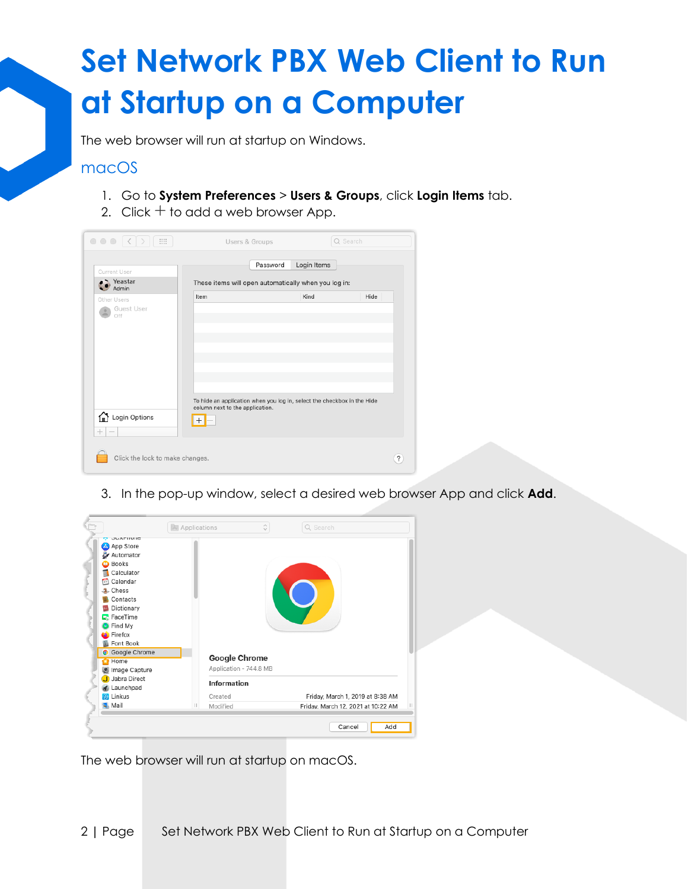# **Set Network PBX Web Client to Run at Startup on a Computer**

The web browser will run at startup on Windows.

#### macOS

- 1. Go to **System Preferences** > **Users & Groups**, click **Login Items** tab.
- 2. Click  $+$  to add a web browser App.

| Current User                      |                                                      | Password                                                                | Login Items |      |  |  |
|-----------------------------------|------------------------------------------------------|-------------------------------------------------------------------------|-------------|------|--|--|
| $\bullet$ Yeastar<br>$\sim$ Admin | These items will open automatically when you log in: |                                                                         |             |      |  |  |
| Other Users<br>Guest User<br>Off  | Item                                                 |                                                                         | Kind        | Hide |  |  |
| Login Options<br>$^{+}$           | column next to the application.<br>$^+$              | To hide an application when you log in, select the checkbox in the Hide |             |      |  |  |

3. In the pop-up window, select a desired web browser App and click **Add**.



The web browser will run at startup on macOS.